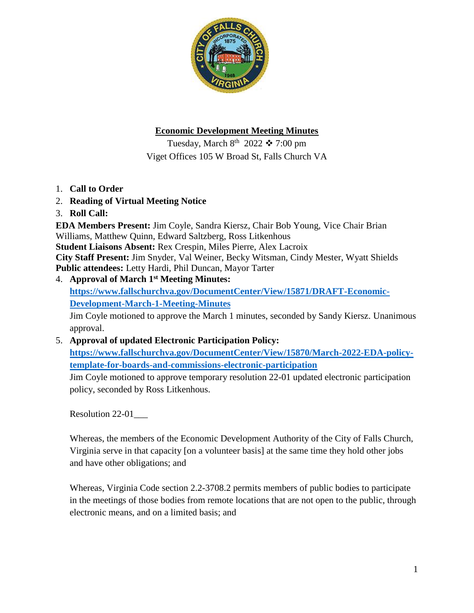

# **Economic Development Meeting Minutes**

Tuesday, March  $8^{th}$  2022  $\div$  7:00 pm Viget Offices 105 W Broad St, Falls Church VA

- 1. **Call to Order**
- 2. **Reading of Virtual Meeting Notice**
- 3. **Roll Call:**

**EDA Members Present:** Jim Coyle, Sandra Kiersz, Chair Bob Young, Vice Chair Brian Williams, Matthew Quinn, Edward Saltzberg, Ross Litkenhous **Student Liaisons Absent:** Rex Crespin, Miles Pierre, Alex Lacroix **City Staff Present:** Jim Snyder, Val Weiner, Becky Witsman, Cindy Mester, Wyatt Shields **Public attendees:** Letty Hardi, Phil Duncan, Mayor Tarter

4. **Approval of March 1st Meeting Minutes:** 

**[https://www.fallschurchva.gov/DocumentCenter/View/15871/DRAFT-Economic-](https://www.fallschurchva.gov/DocumentCenter/View/15871/DRAFT-Economic-Development-March-1-Meeting-Minutes)[Development-March-1-Meeting-Minutes](https://www.fallschurchva.gov/DocumentCenter/View/15871/DRAFT-Economic-Development-March-1-Meeting-Minutes)**

Jim Coyle motioned to approve the March 1 minutes, seconded by Sandy Kiersz. Unanimous approval.

5. **Approval of updated Electronic Participation Policy:** 

**[https://www.fallschurchva.gov/DocumentCenter/View/15870/March-2022-EDA-policy](https://www.fallschurchva.gov/DocumentCenter/View/15870/March-2022-EDA-policy-template-for-boards-and-commissions-electronic-participation)[template-for-boards-and-commissions-electronic-participation](https://www.fallschurchva.gov/DocumentCenter/View/15870/March-2022-EDA-policy-template-for-boards-and-commissions-electronic-participation)**

Jim Coyle motioned to approve temporary resolution 22-01 updated electronic participation policy, seconded by Ross Litkenhous.

Resolution 22-01\_\_\_

Whereas, the members of the Economic Development Authority of the City of Falls Church, Virginia serve in that capacity [on a volunteer basis] at the same time they hold other jobs and have other obligations; and

Whereas, Virginia Code section 2.2-3708.2 permits members of public bodies to participate in the meetings of those bodies from remote locations that are not open to the public, through electronic means, and on a limited basis; and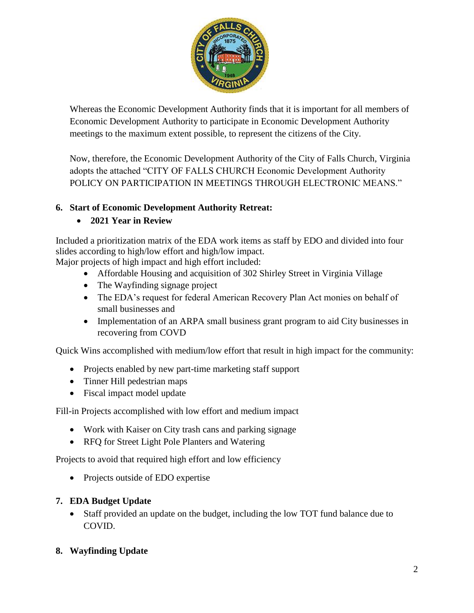

Whereas the Economic Development Authority finds that it is important for all members of Economic Development Authority to participate in Economic Development Authority meetings to the maximum extent possible, to represent the citizens of the City.

Now, therefore, the Economic Development Authority of the City of Falls Church, Virginia adopts the attached "CITY OF FALLS CHURCH Economic Development Authority POLICY ON PARTICIPATION IN MEETINGS THROUGH ELECTRONIC MEANS."

## **6. Start of Economic Development Authority Retreat:**

# **2021 Year in Review**

Included a prioritization matrix of the EDA work items as staff by EDO and divided into four slides according to high/low effort and high/low impact.

Major projects of high impact and high effort included:

- Affordable Housing and acquisition of 302 Shirley Street in Virginia Village
- The Wayfinding signage project
- The EDA's request for federal American Recovery Plan Act monies on behalf of small businesses and
- Implementation of an ARPA small business grant program to aid City businesses in recovering from COVD

Quick Wins accomplished with medium/low effort that result in high impact for the community:

- Projects enabled by new part-time marketing staff support
- Tinner Hill pedestrian maps
- Fiscal impact model update

Fill-in Projects accomplished with low effort and medium impact

- Work with Kaiser on City trash cans and parking signage
- RFQ for Street Light Pole Planters and Watering

Projects to avoid that required high effort and low efficiency

• Projects outside of EDO expertise

## **7. EDA Budget Update**

 Staff provided an update on the budget, including the low TOT fund balance due to COVID.

## **8. Wayfinding Update**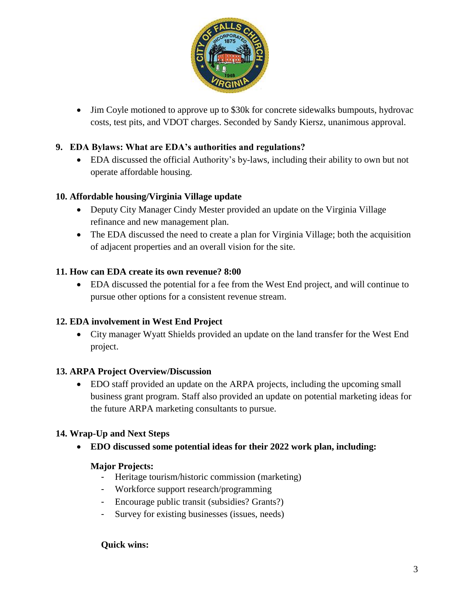

 Jim Coyle motioned to approve up to \$30k for concrete sidewalks bumpouts, hydrovac costs, test pits, and VDOT charges. Seconded by Sandy Kiersz, unanimous approval.

## **9. EDA Bylaws: What are EDA's authorities and regulations?**

 EDA discussed the official Authority's by-laws, including their ability to own but not operate affordable housing.

### **10. Affordable housing/Virginia Village update**

- Deputy City Manager Cindy Mester provided an update on the Virginia Village refinance and new management plan.
- The EDA discussed the need to create a plan for Virginia Village; both the acquisition of adjacent properties and an overall vision for the site.

### **11. How can EDA create its own revenue? 8:00**

 EDA discussed the potential for a fee from the West End project, and will continue to pursue other options for a consistent revenue stream.

### **12. EDA involvement in West End Project**

 City manager Wyatt Shields provided an update on the land transfer for the West End project.

### **13. ARPA Project Overview/Discussion**

 EDO staff provided an update on the ARPA projects, including the upcoming small business grant program. Staff also provided an update on potential marketing ideas for the future ARPA marketing consultants to pursue.

## **14. Wrap-Up and Next Steps**

**EDO discussed some potential ideas for their 2022 work plan, including:** 

### **Major Projects:**

- Heritage tourism/historic commission (marketing)
- Workforce support research/programming
- Encourage public transit (subsidies? Grants?)
- Survey for existing businesses (issues, needs)

### **Quick wins:**